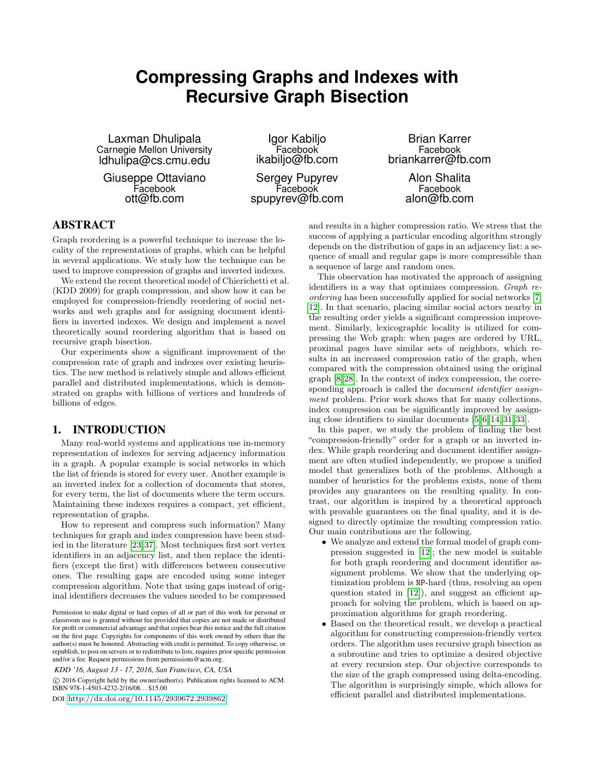# **Compressing Graphs and Indexes with Recursive Graph Bisection**

Laxman Dhulipala Carnegie Mellon University ldhulipa@cs.cmu.edu

Giuseppe Ottaviano Facebook ott@fb.com

Igor Kabiljo Facebook ikabiljo@fb.com

Sergey Pupyrev Facebook spupyrev@fb.com

Brian Karrer Facebook briankarrer@fb.com

> Alon Shalita Facebook alon@fb.com

# ABSTRACT

Graph reordering is a powerful technique to increase the locality of the representations of graphs, which can be helpful in several applications. We study how the technique can be used to improve compression of graphs and inverted indexes.

We extend the recent theoretical model of Chierichetti et al. (KDD 2009) for graph compression, and show how it can be employed for compression-friendly reordering of social networks and web graphs and for assigning document identifiers in inverted indexes. We design and implement a novel theoretically sound reordering algorithm that is based on recursive graph bisection.

Our experiments show a significant improvement of the compression rate of graph and indexes over existing heuristics. The new method is relatively simple and allows efficient parallel and distributed implementations, which is demonstrated on graphs with billions of vertices and hundreds of billions of edges.

# 1. INTRODUCTION

Many real-world systems and applications use in-memory representation of indexes for serving adjacency information in a graph. A popular example is social networks in which the list of friends is stored for every user. Another example is an inverted index for a collection of documents that stores, for every term, the list of documents where the term occurs. Maintaining these indexes requires a compact, yet efficient, representation of graphs.

How to represent and compress such information? Many techniques for graph and index compression have been studied in the literature [\[23,](#page-9-0)[37\]](#page-9-1). Most techniques first sort vertex identifiers in an adjacency list, and then replace the identifiers (except the first) with differences between consecutive ones. The resulting gaps are encoded using some integer compression algorithm. Note that using gaps instead of original identifiers decreases the values needed to be compressed

 c 2016 Copyright held by the owner/author(s). Publication rights licensed to ACM. ISBN 978-1-4503-4232-2/16/08. . . \$15.00

DOI: <http://dx.doi.org/10.1145/2939672.2939862>

and results in a higher compression ratio. We stress that the success of applying a particular encoding algorithm strongly depends on the distribution of gaps in an adjacency list: a sequence of small and regular gaps is more compressible than a sequence of large and random ones.

This observation has motivated the approach of assigning identifiers in a way that optimizes compression. Graph reordering has been successfully applied for social networks [\[7,](#page-9-2) [12\]](#page-9-3). In that scenario, placing similar social actors nearby in the resulting order yields a significant compression improvement. Similarly, lexicographic locality is utilized for compressing the Web graph: when pages are ordered by URL, proximal pages have similar sets of neighbors, which results in an increased compression ratio of the graph, when compared with the compression obtained using the original graph [\[8,](#page-9-4)[28\]](#page-9-5). In the context of index compression, the corresponding approach is called the *document identifier assign*ment problem. Prior work shows that for many collections, index compression can be significantly improved by assigning close identifiers to similar documents [\[5,](#page-9-6) [6,](#page-9-7) [14,](#page-9-8) [31,](#page-9-9) [33\]](#page-9-10).

In this paper, we study the problem of finding the best "compression-friendly" order for a graph or an inverted index. While graph reordering and document identifier assignment are often studied independently, we propose a unified model that generalizes both of the problems. Although a number of heuristics for the problems exists, none of them provides any guarantees on the resulting quality. In contrast, our algorithm is inspired by a theoretical approach with provable guarantees on the final quality, and it is designed to directly optimize the resulting compression ratio. Our main contributions are the following.

- We analyze and extend the formal model of graph compression suggested in [\[12\]](#page-9-3); the new model is suitable for both graph reordering and document identifier assignment problems. We show that the underlying optimization problem is NP-hard (thus, resolving an open question stated in [\[12\]](#page-9-3)), and suggest an efficient approach for solving the problem, which is based on approximation algorithms for graph reordering.
- Based on the theoretical result, we develop a practical algorithm for constructing compression-friendly vertex orders. The algorithm uses recursive graph bisection as a subroutine and tries to optimize a desired objective at every recursion step. Our objective corresponds to the size of the graph compressed using delta-encoding. The algorithm is surprisingly simple, which allows for efficient parallel and distributed implementations.

Permission to make digital or hard copies of all or part of this work for personal or classroom use is granted without fee provided that copies are not made or distributed for profit or commercial advantage and that copies bear this notice and the full citation on the first page. Copyrights for components of this work owned by others than the author(s) must be honored. Abstracting with credit is permitted. To copy otherwise, or republish, to post on servers or to redistribute to lists, requires prior specific permission and/or a fee. Request permissions from permissions@acm.org.

*KDD '16, August 13 - 17, 2016, San Francisco, CA, USA*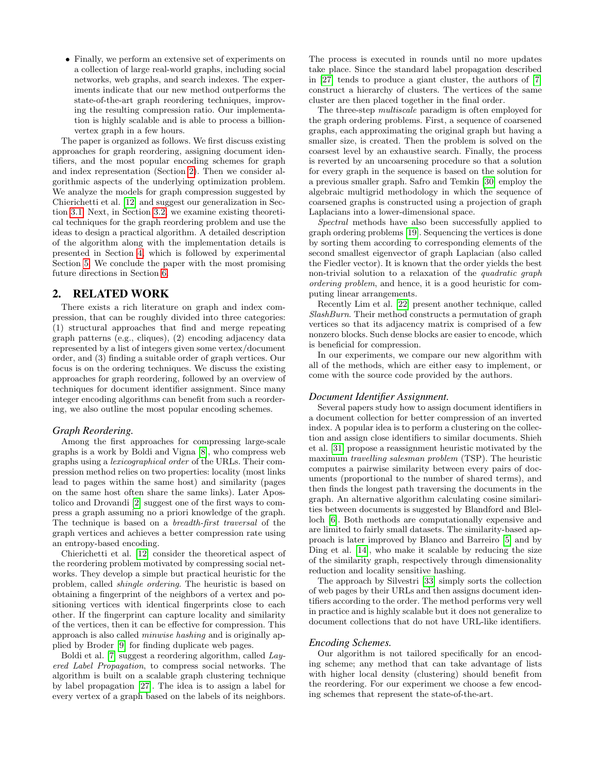• Finally, we perform an extensive set of experiments on a collection of large real-world graphs, including social networks, web graphs, and search indexes. The experiments indicate that our new method outperforms the state-of-the-art graph reordering techniques, improving the resulting compression ratio. Our implementation is highly scalable and is able to process a billionvertex graph in a few hours.

The paper is organized as follows. We first discuss existing approaches for graph reordering, assigning document identifiers, and the most popular encoding schemes for graph and index representation (Section [2\)](#page-1-0). Then we consider algorithmic aspects of the underlying optimization problem. We analyze the models for graph compression suggested by Chierichetti et al. [\[12\]](#page-9-3) and suggest our generalization in Section [3.1.](#page-2-0) Next, in Section [3.2,](#page-3-0) we examine existing theoretical techniques for the graph reordering problem and use the ideas to design a practical algorithm. A detailed description of the algorithm along with the implementation details is presented in Section [4,](#page-3-1) which is followed by experimental Section [5.](#page-4-0) We conclude the paper with the most promising future directions in Section [6.](#page-8-0)

# <span id="page-1-0"></span>2. RELATED WORK

There exists a rich literature on graph and index compression, that can be roughly divided into three categories: (1) structural approaches that find and merge repeating graph patterns (e.g., cliques), (2) encoding adjacency data represented by a list of integers given some vertex/document order, and (3) finding a suitable order of graph vertices. Our focus is on the ordering techniques. We discuss the existing approaches for graph reordering, followed by an overview of techniques for document identifier assignment. Since many integer encoding algorithms can benefit from such a reordering, we also outline the most popular encoding schemes.

#### *Graph Reordering.*

Among the first approaches for compressing large-scale graphs is a work by Boldi and Vigna [\[8\]](#page-9-4), who compress web graphs using a lexicographical order of the URLs. Their compression method relies on two properties: locality (most links lead to pages within the same host) and similarity (pages on the same host often share the same links). Later Apostolico and Drovandi [\[2\]](#page-9-11) suggest one of the first ways to compress a graph assuming no a priori knowledge of the graph. The technique is based on a breadth-first traversal of the graph vertices and achieves a better compression rate using an entropy-based encoding.

Chierichetti et al. [\[12\]](#page-9-3) consider the theoretical aspect of the reordering problem motivated by compressing social networks. They develop a simple but practical heuristic for the problem, called shingle ordering. The heuristic is based on obtaining a fingerprint of the neighbors of a vertex and positioning vertices with identical fingerprints close to each other. If the fingerprint can capture locality and similarity of the vertices, then it can be effective for compression. This approach is also called minwise hashing and is originally applied by Broder [\[9\]](#page-9-12) for finding duplicate web pages.

Boldi et al. [\[7\]](#page-9-2) suggest a reordering algorithm, called Layered Label Propagation, to compress social networks. The algorithm is built on a scalable graph clustering technique by label propagation [\[27\]](#page-9-13). The idea is to assign a label for every vertex of a graph based on the labels of its neighbors.

The process is executed in rounds until no more updates take place. Since the standard label propagation described in [\[27\]](#page-9-13) tends to produce a giant cluster, the authors of [\[7\]](#page-9-2) construct a hierarchy of clusters. The vertices of the same cluster are then placed together in the final order.

The three-step multiscale paradigm is often employed for the graph ordering problems. First, a sequence of coarsened graphs, each approximating the original graph but having a smaller size, is created. Then the problem is solved on the coarsest level by an exhaustive search. Finally, the process is reverted by an uncoarsening procedure so that a solution for every graph in the sequence is based on the solution for a previous smaller graph. Safro and Temkin [\[30\]](#page-9-14) employ the algebraic multigrid methodology in which the sequence of coarsened graphs is constructed using a projection of graph Laplacians into a lower-dimensional space.

Spectral methods have also been successfully applied to graph ordering problems [\[19\]](#page-9-15). Sequencing the vertices is done by sorting them according to corresponding elements of the second smallest eigenvector of graph Laplacian (also called the Fiedler vector). It is known that the order yields the best non-trivial solution to a relaxation of the quadratic graph ordering problem, and hence, it is a good heuristic for computing linear arrangements.

Recently Lim et al. [\[22\]](#page-9-16) present another technique, called SlashBurn. Their method constructs a permutation of graph vertices so that its adjacency matrix is comprised of a few nonzero blocks. Such dense blocks are easier to encode, which is beneficial for compression.

In our experiments, we compare our new algorithm with all of the methods, which are either easy to implement, or come with the source code provided by the authors.

#### *Document Identifier Assignment.*

Several papers study how to assign document identifiers in a document collection for better compression of an inverted index. A popular idea is to perform a clustering on the collection and assign close identifiers to similar documents. Shieh et al. [\[31\]](#page-9-9) propose a reassignment heuristic motivated by the maximum travelling salesman problem (TSP). The heuristic computes a pairwise similarity between every pairs of documents (proportional to the number of shared terms), and then finds the longest path traversing the documents in the graph. An alternative algorithm calculating cosine similarities between documents is suggested by Blandford and Blelloch [\[6\]](#page-9-7). Both methods are computationally expensive and are limited to fairly small datasets. The similarity-based approach is later improved by Blanco and Barreiro [\[5\]](#page-9-6) and by Ding et al. [\[14\]](#page-9-8), who make it scalable by reducing the size of the similarity graph, respectively through dimensionality reduction and locality sensitive hashing.

The approach by Silvestri [\[33\]](#page-9-10) simply sorts the collection of web pages by their URLs and then assigns document identifiers according to the order. The method performs very well in practice and is highly scalable but it does not generalize to document collections that do not have URL-like identifiers.

#### *Encoding Schemes.*

Our algorithm is not tailored specifically for an encoding scheme; any method that can take advantage of lists with higher local density (clustering) should benefit from the reordering. For our experiment we choose a few encoding schemes that represent the state-of-the-art.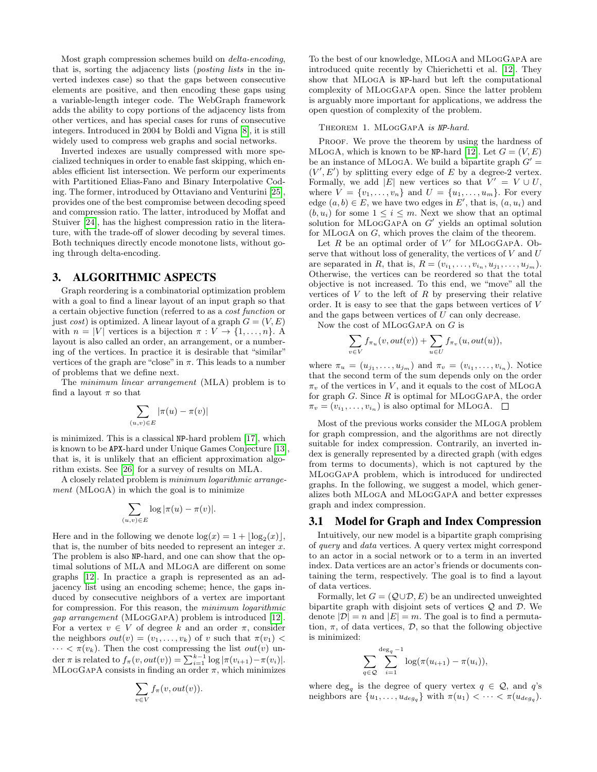Most graph compression schemes build on delta-encoding, that is, sorting the adjacency lists (posting lists in the inverted indexes case) so that the gaps between consecutive elements are positive, and then encoding these gaps using a variable-length integer code. The WebGraph framework adds the ability to copy portions of the adjacency lists from other vertices, and has special cases for runs of consecutive integers. Introduced in 2004 by Boldi and Vigna [\[8\]](#page-9-4), it is still widely used to compress web graphs and social networks.

Inverted indexes are usually compressed with more specialized techniques in order to enable fast skipping, which enables efficient list intersection. We perform our experiments with Partitioned Elias-Fano and Binary Interpolative Coding. The former, introduced by Ottaviano and Venturini [\[25\]](#page-9-17), provides one of the best compromise between decoding speed and compression ratio. The latter, introduced by Moffat and Stuiver [\[24\]](#page-9-18), has the highest compression ratio in the literature, with the trade-off of slower decoding by several times. Both techniques directly encode monotone lists, without going through delta-encoding.

## 3. ALGORITHMIC ASPECTS

Graph reordering is a combinatorial optimization problem with a goal to find a linear layout of an input graph so that a certain objective function (referred to as a cost function or just cost) is optimized. A linear layout of a graph  $G = (V, E)$ with  $n = |V|$  vertices is a bijection  $\pi : V \to \{1, \ldots, n\}$ . A layout is also called an order, an arrangement, or a numbering of the vertices. In practice it is desirable that "similar" vertices of the graph are "close" in  $\pi$ . This leads to a number of problems that we define next.

The minimum linear arrangement (MLA) problem is to find a layout  $\pi$  so that

$$
\sum_{(u,v)\in E}|\pi(u)-\pi(v)|
$$

is minimized. This is a classical NP-hard problem [\[17\]](#page-9-19), which is known to be APX-hard under Unique Games Conjecture [\[13\]](#page-9-20), that is, it is unlikely that an efficient approximation algorithm exists. See [\[26\]](#page-9-21) for a survey of results on MLA.

A closely related problem is minimum logarithmic arrangement (MLogA) in which the goal is to minimize

$$
\sum_{(u,v)\in E} \log |\pi(u) - \pi(v)|.
$$

Here and in the following we denote  $\log(x) = 1 + \lfloor \log_2(x) \rfloor$ , that is, the number of bits needed to represent an integer  $x$ . The problem is also NP-hard, and one can show that the optimal solutions of MLA and MLogA are different on some graphs [\[12\]](#page-9-3). In practice a graph is represented as an adjacency list using an encoding scheme; hence, the gaps induced by consecutive neighbors of a vertex are important for compression. For this reason, the minimum logarithmic gap arrangement (MLogGapA) problem is introduced [\[12\]](#page-9-3). For a vertex  $v \in V$  of degree k and an order  $\pi$ , consider the neighbors  $out(v) = (v_1, \ldots, v_k)$  of v such that  $\pi(v_1)$  <  $\cdots < \pi(v_k)$ . Then the cost compressing the list *out*(*v*) under  $\pi$  is related to  $f_{\pi}(v, out(v)) = \sum_{i=1}^{k-1} \log |\pi(v_{i+1}) - \pi(v_i)|$ . MLogGapA consists in finding an order  $\pi$ , which minimizes

$$
\sum_{v \in V} f_{\pi}(v,out(v)).
$$

To the best of our knowledge, MLogA and MLogGapA are introduced quite recently by Chierichetti et al. [\[12\]](#page-9-3). They show that MLogA is NP-hard but left the computational complexity of MLogGapA open. Since the latter problem is arguably more important for applications, we address the open question of complexity of the problem.

#### <span id="page-2-1"></span>THEOREM 1. MLOGGAPA is NP-hard.

PROOF. We prove the theorem by using the hardness of MLogA, which is known to be NP-hard [\[12\]](#page-9-3). Let  $G = (V, E)$ be an instance of MLogA. We build a bipartite graph  $G' =$  $(V', E')$  by splitting every edge of E by a degree-2 vertex. Formally, we add |E| new vertices so that  $V' = V \cup U$ , where  $V = \{v_1, \ldots, v_n\}$  and  $U = \{u_1, \ldots, u_m\}$ . For every edge  $(a, b) \in E$ , we have two edges in E', that is,  $(a, u_i)$  and  $(b, u_i)$  for some  $1 \leq i \leq m$ . Next we show that an optimal solution for MLOGGAPA on  $G'$  yields an optimal solution for MLogA on  $G$ , which proves the claim of the theorem.

Let  $R$  be an optimal order of  $V'$  for MLOGGAPA. Observe that without loss of generality, the vertices of  $V$  and  $U$ are separated in R, that is,  $R = (v_{i_1}, \ldots, v_{i_n}, u_{j_1}, \ldots, u_{j_m}).$ Otherwise, the vertices can be reordered so that the total objective is not increased. To this end, we "move" all the vertices of  $V$  to the left of  $R$  by preserving their relative order. It is easy to see that the gaps between vertices of V and the gaps between vertices of  $U$  can only decrease.

Now the cost of MLogGapA on G is

$$
\sum_{v \in V} f_{\pi_u}(v, out(v)) + \sum_{u \in U} f_{\pi_v}(u, out(u)),
$$

where  $\pi_u = (u_{j_1}, \ldots, u_{j_m})$  and  $\pi_v = (v_{i_1}, \ldots, v_{i_n})$ . Notice that the second term of the sum depends only on the order  $\pi_v$  of the vertices in V, and it equals to the cost of MLogA for graph  $G$ . Since  $R$  is optimal for MLOGGAPA, the order  $\pi_v = (v_{i_1}, \ldots, v_{i_n})$  is also optimal for MLogA.

Most of the previous works consider the MLogA problem for graph compression, and the algorithms are not directly suitable for index compression. Contrarily, an inverted index is generally represented by a directed graph (with edges from terms to documents), which is not captured by the MLogGapA problem, which is introduced for undirected graphs. In the following, we suggest a model, which generalizes both MLogA and MLogGapA and better expresses graph and index compression.

# <span id="page-2-0"></span>3.1 Model for Graph and Index Compression

Intuitively, our new model is a bipartite graph comprising of query and data vertices. A query vertex might correspond to an actor in a social network or to a term in an inverted index. Data vertices are an actor's friends or documents containing the term, respectively. The goal is to find a layout of data vertices.

Formally, let  $G = (Q \cup \mathcal{D}, E)$  be an undirected unweighted bipartite graph with disjoint sets of vertices  $Q$  and  $D$ . We denote  $|\mathcal{D}| = n$  and  $|E| = m$ . The goal is to find a permutation,  $\pi$ , of data vertices,  $\mathcal{D}$ , so that the following objective is minimized:

$$
\sum_{q \in \mathcal{Q}} \sum_{i=1}^{\deg_q - 1} \log(\pi(u_{i+1}) - \pi(u_i)),
$$

where  $\deg_q$  is the degree of query vertex  $q \in \mathcal{Q}$ , and  $q$ 's neighbors are  $\{u_1, \ldots, u_{deg_q}\}\$  with  $\pi(u_1) < \cdots < \pi(u_{deg_q})$ .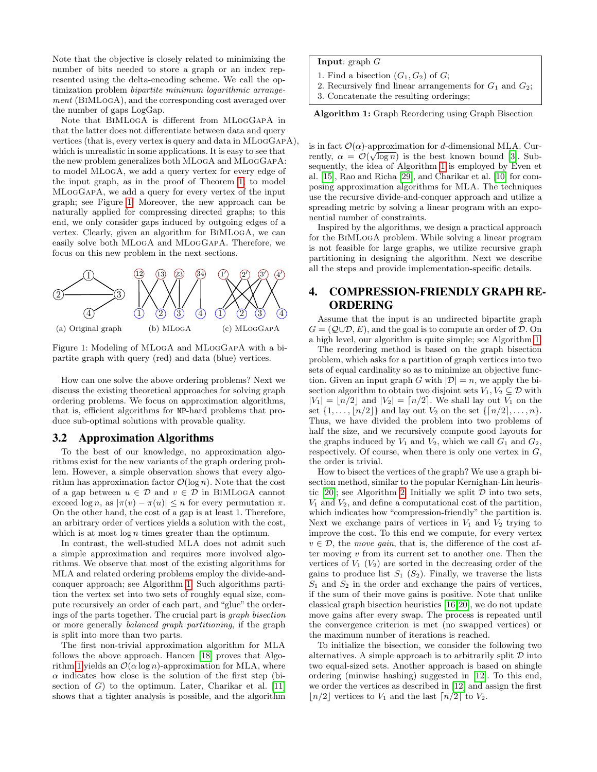Note that the objective is closely related to minimizing the number of bits needed to store a graph or an index represented using the delta-encoding scheme. We call the optimization problem bipartite minimum logarithmic arrangement (BIMLOGA), and the corresponding cost averaged over the number of gaps LogGap.

Note that BiMLogA is different from MLogGapA in that the latter does not differentiate between data and query vertices (that is, every vertex is query and data in MLogGapA), which is unrealistic in some applications. It is easy to see that the new problem generalizes both MLogA and MLogGapA: to model MLogA, we add a query vertex for every edge of the input graph, as in the proof of Theorem [1;](#page-2-1) to model MLogGapA, we add a query for every vertex of the input graph; see Figure [1.](#page-3-2) Moreover, the new approach can be naturally applied for compressing directed graphs; to this end, we only consider gaps induced by outgoing edges of a vertex. Clearly, given an algorithm for BiMLogA, we can easily solve both MLogA and MLogGapA. Therefore, we focus on this new problem in the next sections.

<span id="page-3-2"></span>

Figure 1: Modeling of MLogA and MLogGapA with a bipartite graph with query (red) and data (blue) vertices.

How can one solve the above ordering problems? Next we discuss the existing theoretical approaches for solving graph ordering problems. We focus on approximation algorithms, that is, efficient algorithms for NP-hard problems that produce sub-optimal solutions with provable quality.

#### <span id="page-3-0"></span>3.2 Approximation Algorithms

To the best of our knowledge, no approximation algorithms exist for the new variants of the graph ordering problem. However, a simple observation shows that every algorithm has approximation factor  $\mathcal{O}(\log n)$ . Note that the cost of a gap between  $u \in \mathcal{D}$  and  $v \in \mathcal{D}$  in BIMLOGA cannot exceed log n, as  $|\pi(v) - \pi(u)| \leq n$  for every permutation  $\pi$ . On the other hand, the cost of a gap is at least 1. Therefore, an arbitrary order of vertices yields a solution with the cost, which is at most  $\log n$  times greater than the optimum.

In contrast, the well-studied MLA does not admit such a simple approximation and requires more involved algorithms. We observe that most of the existing algorithms for MLA and related ordering problems employ the divide-andconquer approach; see Algorithm [1.](#page-3-3) Such algorithms partition the vertex set into two sets of roughly equal size, compute recursively an order of each part, and "glue" the orderings of the parts together. The crucial part is graph bisection or more generally balanced graph partitioning, if the graph is split into more than two parts.

The first non-trivial approximation algorithm for MLA follows the above approach. Hancen [\[18\]](#page-9-22) proves that Algo-rithm [1](#page-3-3) yields an  $\mathcal{O}(\alpha \log n)$ -approximation for MLA, where  $\alpha$  indicates how close is the solution of the first step (bisection of  $G$ ) to the optimum. Later, Charikar et al. [\[11\]](#page-9-23) shows that a tighter analysis is possible, and the algorithm <span id="page-3-3"></span>**Input:** graph  $G$ 

- 1. Find a bisection  $(G_1, G_2)$  of  $G$ ;
- 2. Recursively find linear arrangements for  $G_1$  and  $G_2$ ;
- 3. Concatenate the resulting orderings;

Algorithm 1: Graph Reordering using Graph Bisection

is in fact  $\mathcal{O}(\alpha)$ -approximation for d-dimensional MLA. Currently,  $\alpha = \mathcal{O}(\sqrt{\log n})$  is the best known bound [\[3\]](#page-9-24). Subsequently, the idea of Algorithm [1](#page-3-3) is employed by Even et al. [\[15\]](#page-9-25), Rao and Richa [\[29\]](#page-9-26), and Charikar et al. [\[10\]](#page-9-27) for composing approximation algorithms for MLA. The techniques use the recursive divide-and-conquer approach and utilize a spreading metric by solving a linear program with an exponential number of constraints.

Inspired by the algorithms, we design a practical approach for the BiMLogA problem. While solving a linear program is not feasible for large graphs, we utilize recursive graph partitioning in designing the algorithm. Next we describe all the steps and provide implementation-specific details.

# <span id="page-3-1"></span>4. COMPRESSION-FRIENDLY GRAPH RE-ORDERING

Assume that the input is an undirected bipartite graph  $G = (Q \cup \mathcal{D}, E)$ , and the goal is to compute an order of  $\mathcal{D}$ . On a high level, our algorithm is quite simple; see Algorithm [1.](#page-3-3)

The reordering method is based on the graph bisection problem, which asks for a partition of graph vertices into two sets of equal cardinality so as to minimize an objective function. Given an input graph G with  $|\mathcal{D}| = n$ , we apply the bisection algorithm to obtain two disjoint sets  $V_1, V_2 \subseteq \mathcal{D}$  with  $|V_1| = |n/2|$  and  $|V_2| = [n/2]$ . We shall lay out  $V_1$  on the set  $\{1, ..., \lfloor n/2 \rfloor\}$  and lay out  $V_2$  on the set  $\{\lceil n/2 \rceil, ..., n\}$ . Thus, we have divided the problem into two problems of half the size, and we recursively compute good layouts for the graphs induced by  $V_1$  and  $V_2$ , which we call  $G_1$  and  $G_2$ , respectively. Of course, when there is only one vertex in  $G$ , the order is trivial.

How to bisect the vertices of the graph? We use a graph bisection method, similar to the popular Kernighan-Lin heuris-tic [\[20\]](#page-9-28); see Algorithm [2.](#page-4-1) Initially we split  $D$  into two sets,  $V_1$  and  $V_2$ , and define a computational cost of the partition, which indicates how "compression-friendly" the partition is. Next we exchange pairs of vertices in  $V_1$  and  $V_2$  trying to improve the cost. To this end we compute, for every vertex  $v \in \mathcal{D}$ , the *move gain*, that is, the difference of the cost after moving  $v$  from its current set to another one. Then the vertices of  $V_1$   $(V_2)$  are sorted in the decreasing order of the gains to produce list  $S_1$  ( $S_2$ ). Finally, we traverse the lists  $S_1$  and  $S_2$  in the order and exchange the pairs of vertices, if the sum of their move gains is positive. Note that unlike classical graph bisection heuristics [\[16,](#page-9-29)[20\]](#page-9-28), we do not update move gains after every swap. The process is repeated until the convergence criterion is met (no swapped vertices) or the maximum number of iterations is reached.

To initialize the bisection, we consider the following two alternatives. A simple approach is to arbitrarily split  $\mathcal D$  into two equal-sized sets. Another approach is based on shingle ordering (minwise hashing) suggested in [\[12\]](#page-9-3). To this end, we order the vertices as described in [\[12\]](#page-9-3) and assign the first  $\lfloor n/2 \rfloor$  vertices to  $V_1$  and the last  $\lfloor n/2 \rfloor$  to  $V_2$ .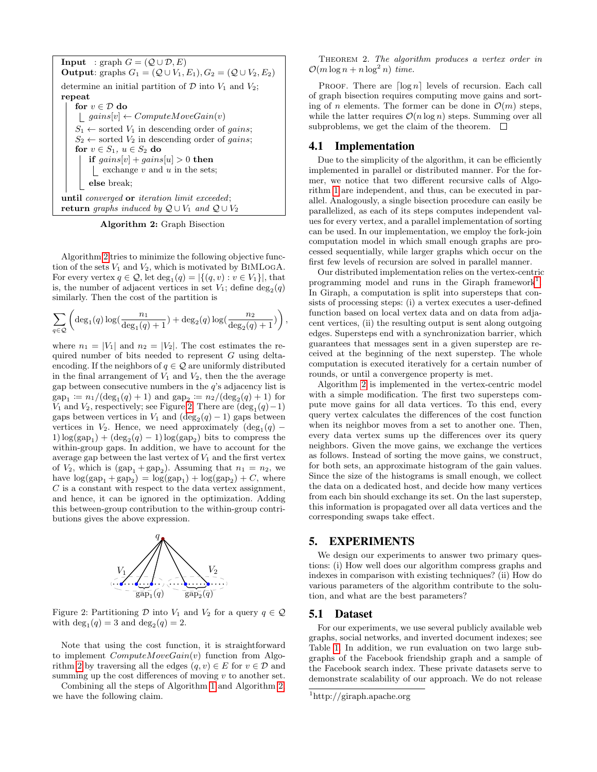<span id="page-4-1"></span>

Algorithm 2: Graph Bisection

Algorithm [2](#page-4-1) tries to minimize the following objective function of the sets  $V_1$  and  $V_2$ , which is motivated by BIMLOGA. For every vertex  $q \in \mathcal{Q}$ , let  $\deg_1(q) = |\{(q, v) : v \in V_1\}|$ , that is, the number of adjacent vertices in set  $V_1$ ; define  $\deg_2(q)$ similarly. Then the cost of the partition is

$$
\sum_{q\in\mathcal{Q}}\left(\deg_1(q)\log(\frac{n_1}{\deg_1(q)+1})+\deg_2(q)\log(\frac{n_2}{\deg_2(q)+1})\right)
$$

where  $n_1 = |V_1|$  and  $n_2 = |V_2|$ . The cost estimates the required number of bits needed to represent  $G$  using deltaencoding. If the neighbors of  $q \in \mathcal{Q}$  are uniformly distributed in the final arrangement of  $V_1$  and  $V_2$ , then the the average gap between consecutive numbers in the  $q$ 's adjacency list is  $\text{gap}_1 := n_1/(\text{deg}_1(q) + 1)$  and  $\text{gap}_2 := n_2/(\text{deg}_2(q) + 1)$  for  $V_1$  and  $V_2$ , respectively; see Figure [2.](#page-4-2) There are  $(\deg_1(q)-1)$ gaps between vertices in  $V_1$  and  $(\text{deg}_2(q) - 1)$  gaps between vertices in  $V_2$ . Hence, we need approximately  $(\deg_1(q) 1) \log(\text{gap}_1) + (\text{deg}_2(q) - 1) \log(\text{gap}_2)$  bits to compress the within-group gaps. In addition, we have to account for the average gap between the last vertex of  $V_1$  and the first vertex of  $V_2$ , which is  $(\text{gap}_1 + \text{gap}_2)$ . Assuming that  $n_1 = n_2$ , we have  $\log(\text{gap}_1 + \text{gap}_2) = \log(\text{gap}_1) + \log(\text{gap}_2) + C$ , where  $C$  is a constant with respect to the data vertex assignment, and hence, it can be ignored in the optimization. Adding this between-group contribution to the within-group contributions gives the above expression.

<span id="page-4-2"></span>

Figure 2: Partitioning  $D$  into  $V_1$  and  $V_2$  for a query  $q \in \mathcal{Q}$ with  $\deg_1(q) = 3$  and  $\deg_2(q) = 2$ .

Note that using the cost function, it is straightforward to implement  $ComputeMoveGain(v)$  function from Algo-rithm [2](#page-4-1) by traversing all the edges  $(q, v) \in E$  for  $v \in \mathcal{D}$  and summing up the cost differences of moving  $v$  to another set.

Combining all the steps of Algorithm [1](#page-3-3) and Algorithm [2,](#page-4-1) we have the following claim.

THEOREM 2. The algorithm produces a vertex order in  $\mathcal{O}(m \log n + n \log^2 n)$  time.

PROOF. There are  $\lceil \log n \rceil$  levels of recursion. Each call of graph bisection requires computing move gains and sorting of *n* elements. The former can be done in  $\mathcal{O}(m)$  steps, while the latter requires  $\mathcal{O}(n \log n)$  steps. Summing over all subproblems, we get the claim of the theorem.  $\Box$ 

#### 4.1 Implementation

,

Due to the simplicity of the algorithm, it can be efficiently implemented in parallel or distributed manner. For the former, we notice that two different recursive calls of Algorithm [1](#page-3-3) are independent, and thus, can be executed in parallel. Analogously, a single bisection procedure can easily be parallelized, as each of its steps computes independent values for every vertex, and a parallel implementation of sorting can be used. In our implementation, we employ the fork-join computation model in which small enough graphs are processed sequentially, while larger graphs which occur on the first few levels of recursion are solved in parallel manner.

Our distributed implementation relies on the vertex-centric programming model and runs in the Giraph framework<sup>[1](#page-4-3)</sup>. In Giraph, a computation is split into supersteps that consists of processing steps: (i) a vertex executes a user-defined function based on local vertex data and on data from adjacent vertices, (ii) the resulting output is sent along outgoing edges. Supersteps end with a synchronization barrier, which guarantees that messages sent in a given superstep are received at the beginning of the next superstep. The whole computation is executed iteratively for a certain number of rounds, or until a convergence property is met.

Algorithm [2](#page-4-1) is implemented in the vertex-centric model with a simple modification. The first two supersteps compute move gains for all data vertices. To this end, every query vertex calculates the differences of the cost function when its neighbor moves from a set to another one. Then, every data vertex sums up the differences over its query neighbors. Given the move gains, we exchange the vertices as follows. Instead of sorting the move gains, we construct, for both sets, an approximate histogram of the gain values. Since the size of the histograms is small enough, we collect the data on a dedicated host, and decide how many vertices from each bin should exchange its set. On the last superstep, this information is propagated over all data vertices and the corresponding swaps take effect.

# <span id="page-4-0"></span>5. EXPERIMENTS

We design our experiments to answer two primary questions: (i) How well does our algorithm compress graphs and indexes in comparison with existing techniques? (ii) How do various parameters of the algorithm contribute to the solution, and what are the best parameters?

#### 5.1 Dataset

For our experiments, we use several publicly available web graphs, social networks, and inverted document indexes; see Table [1.](#page-5-0) In addition, we run evaluation on two large subgraphs of the Facebook friendship graph and a sample of the Facebook search index. These private datasets serve to demonstrate scalability of our approach. We do not release

<span id="page-4-3"></span><sup>1</sup>http://giraph.apache.org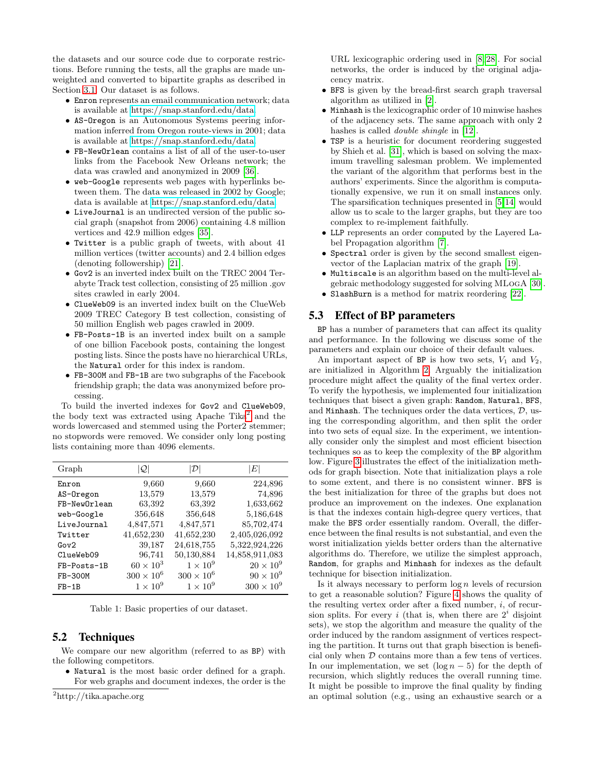the datasets and our source code due to corporate restrictions. Before running the tests, all the graphs are made unweighted and converted to bipartite graphs as described in Section [3.1.](#page-2-0) Our dataset is as follows.

- Enron represents an email communication network; data is available at [https://snap.stanford.edu/data.](https://snap.stanford.edu/data)
- AS-Oregon is an Autonomous Systems peering information inferred from Oregon route-views in 2001; data is available at [https://snap.stanford.edu/data.](https://snap.stanford.edu/data)
- FB-NewOrlean contains a list of all of the user-to-user links from the Facebook New Orleans network; the data was crawled and anonymized in 2009 [\[36\]](#page-9-30).
- web-Google represents web pages with hyperlinks between them. The data was released in 2002 by Google; data is available at [https://snap.stanford.edu/data.](https://snap.stanford.edu/data)
- LiveJournal is an undirected version of the public social graph (snapshot from 2006) containing 4.8 million vertices and 42.9 million edges [\[35\]](#page-9-31).
- Twitter is a public graph of tweets, with about 41 million vertices (twitter accounts) and 2.4 billion edges (denoting followership) [\[21\]](#page-9-32).
- Gov2 is an inverted index built on the TREC 2004 Terabyte Track test collection, consisting of 25 million .gov sites crawled in early 2004.
- ClueWeb09 is an inverted index built on the ClueWeb 2009 TREC Category B test collection, consisting of 50 million English web pages crawled in 2009.
- FB-Posts-1B is an inverted index built on a sample of one billion Facebook posts, containing the longest posting lists. Since the posts have no hierarchical URLs, the Natural order for this index is random.
- FB-300M and FB-1B are two subgraphs of the Facebook friendship graph; the data was anonymized before processing.

To build the inverted indexes for Gov2 and ClueWeb09, the body text was extracted using Apache Tika<sup>[2](#page-5-1)</sup> and the words lowercased and stemmed using the Porter2 stemmer; no stopwords were removed. We consider only long posting lists containing more than 4096 elements.

<span id="page-5-0"></span>

| Graph        | $\mathcal{Q}$       |                     | Е                 |  |
|--------------|---------------------|---------------------|-------------------|--|
| Enron        | 9,660               | 9,660               | 224,896           |  |
| AS-Oregon    | 13,579              | 13,579              | 74,896            |  |
| FB-NewOrlean | 63,392              | 63,392              | 1,633,662         |  |
| web-Google   | 356,648             | 356,648             | 5,186,648         |  |
| LiveJournal  | 4,847,571           | 4,847,571           | 85,702,474        |  |
| Twitter      | 41,652,230          | 41,652,230          | 2,405,026,092     |  |
| Gov2         | 39,187              | 24,618,755          | 5,322,924,226     |  |
| ClueWeb09    | 96,741              | 50,130,884          | 14,858,911,083    |  |
| FB-Posts-1B  | $60 \times 10^3$    | $1 \times 10^9$     | $20 \times 10^9$  |  |
| FB-300M      | $300 \times 10^{6}$ | $300 \times 10^{6}$ | $90 \times 10^9$  |  |
| $FB-1B$      | $1\times10^9$       | $1 \times 10^9$     | $300 \times 10^9$ |  |

Table 1: Basic properties of our dataset.

# 5.2 Techniques

We compare our new algorithm (referred to as BP) with the following competitors.

• Natural is the most basic order defined for a graph. For web graphs and document indexes, the order is the

<span id="page-5-1"></span><sup>2</sup>http://tika.apache.org

URL lexicographic ordering used in [\[8,](#page-9-4) [28\]](#page-9-5). For social networks, the order is induced by the original adjacency matrix.

- BFS is given by the bread-first search graph traversal algorithm as utilized in [\[2\]](#page-9-11).
- Minhash is the lexicographic order of 10 minwise hashes of the adjacency sets. The same approach with only 2 hashes is called *double shingle* in [\[12\]](#page-9-3).
- TSP is a heuristic for document reordering suggested by Shieh et al. [\[31\]](#page-9-9), which is based on solving the maximum travelling salesman problem. We implemented the variant of the algorithm that performs best in the authors' experiments. Since the algorithm is computationally expensive, we run it on small instances only. The sparsification techniques presented in [\[5,](#page-9-6)[14\]](#page-9-8) would allow us to scale to the larger graphs, but they are too complex to re-implement faithfully.
- LLP represents an order computed by the Layered Label Propagation algorithm [\[7\]](#page-9-2).
- Spectral order is given by the second smallest eigenvector of the Laplacian matrix of the graph [\[19\]](#page-9-15).
- Multiscale is an algorithm based on the multi-level algebraic methodology suggested for solving MLogA [\[30\]](#page-9-14).
- SlashBurn is a method for matrix reordering [\[22\]](#page-9-16).

# 5.3 Effect of BP parameters

BP has a number of parameters that can affect its quality and performance. In the following we discuss some of the parameters and explain our choice of their default values.

An important aspect of BP is how two sets,  $V_1$  and  $V_2$ , are initialized in Algorithm [2.](#page-4-1) Arguably the initialization procedure might affect the quality of the final vertex order. To verify the hypothesis, we implemented four initialization techniques that bisect a given graph: Random, Natural, BFS, and Minhash. The techniques order the data vertices,  $D$ , using the corresponding algorithm, and then split the order into two sets of equal size. In the experiment, we intentionally consider only the simplest and most efficient bisection techniques so as to keep the complexity of the BP algorithm low. Figure [3](#page-6-0) illustrates the effect of the initialization methods for graph bisection. Note that initialization plays a role to some extent, and there is no consistent winner. BFS is the best initialization for three of the graphs but does not produce an improvement on the indexes. One explanation is that the indexes contain high-degree query vertices, that make the BFS order essentially random. Overall, the difference between the final results is not substantial, and even the worst initialization yields better orders than the alternative algorithms do. Therefore, we utilize the simplest approach, Random, for graphs and Minhash for indexes as the default technique for bisection initialization.

Is it always necessary to perform  $\log n$  levels of recursion to get a reasonable solution? Figure [4](#page-6-1) shows the quality of the resulting vertex order after a fixed number,  $i$ , of recursion splits. For every i (that is, when there are  $2<sup>i</sup>$  disjoint sets), we stop the algorithm and measure the quality of the order induced by the random assignment of vertices respecting the partition. It turns out that graph bisection is beneficial only when  $D$  contains more than a few tens of vertices. In our implementation, we set  $(\log n - 5)$  for the depth of recursion, which slightly reduces the overall running time. It might be possible to improve the final quality by finding an optimal solution (e.g., using an exhaustive search or a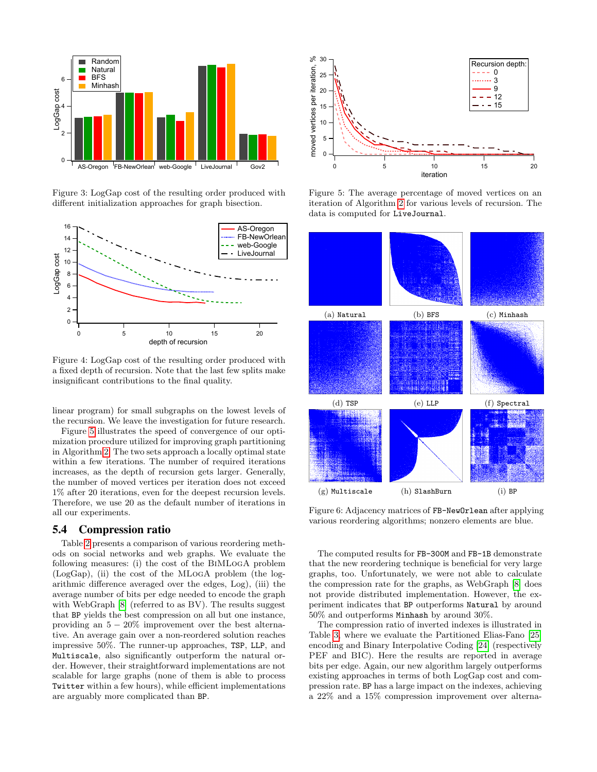<span id="page-6-0"></span>

Figure 3: LogGap cost of the resulting order produced with different initialization approaches for graph bisection.

<span id="page-6-1"></span>

Figure 4: LogGap cost of the resulting order produced with a fixed depth of recursion. Note that the last few splits make insignificant contributions to the final quality.

linear program) for small subgraphs on the lowest levels of the recursion. We leave the investigation for future research.

Figure [5](#page-6-2) illustrates the speed of convergence of our optimization procedure utilized for improving graph partitioning in Algorithm [2.](#page-4-1) The two sets approach a locally optimal state within a few iterations. The number of required iterations increases, as the depth of recursion gets larger. Generally, the number of moved vertices per iteration does not exceed 1% after 20 iterations, even for the deepest recursion levels. Therefore, we use 20 as the default number of iterations in all our experiments.

# 5.4 Compression ratio

Table [2](#page-7-0) presents a comparison of various reordering methods on social networks and web graphs. We evaluate the following measures: (i) the cost of the BiMLogA problem  $(LogGap)$ , (ii) the cost of the MLOGA problem (the logarithmic difference averaged over the edges, Log), (iii) the average number of bits per edge needed to encode the graph with WebGraph [\[8\]](#page-9-4) (referred to as BV). The results suggest that BP yields the best compression on all but one instance, providing an  $5 - 20\%$  improvement over the best alternative. An average gain over a non-reordered solution reaches impressive 50%. The runner-up approaches, TSP, LLP, and Multiscale, also significantly outperform the natural order. However, their straightforward implementations are not scalable for large graphs (none of them is able to process Twitter within a few hours), while efficient implementations are arguably more complicated than BP.

<span id="page-6-2"></span>

Figure 5: The average percentage of moved vertices on an iteration of Algorithm [2](#page-4-1) for various levels of recursion. The data is computed for LiveJournal.

<span id="page-6-3"></span>

Figure 6: Adjacency matrices of FB-NewOrlean after applying various reordering algorithms; nonzero elements are blue.

The computed results for FB-300M and FB-1B demonstrate that the new reordering technique is beneficial for very large graphs, too. Unfortunately, we were not able to calculate the compression rate for the graphs, as WebGraph [\[8\]](#page-9-4) does not provide distributed implementation. However, the experiment indicates that BP outperforms Natural by around 50% and outperforms Minhash by around 30%.

The compression ratio of inverted indexes is illustrated in Table [3,](#page-7-1) where we evaluate the Partitioned Elias-Fano [\[25\]](#page-9-17) encoding and Binary Interpolative Coding [\[24\]](#page-9-18) (respectively PEF and BIC). Here the results are reported in average bits per edge. Again, our new algorithm largely outperforms existing approaches in terms of both LogGap cost and compression rate. BP has a large impact on the indexes, achieving a 22% and a 15% compression improvement over alterna-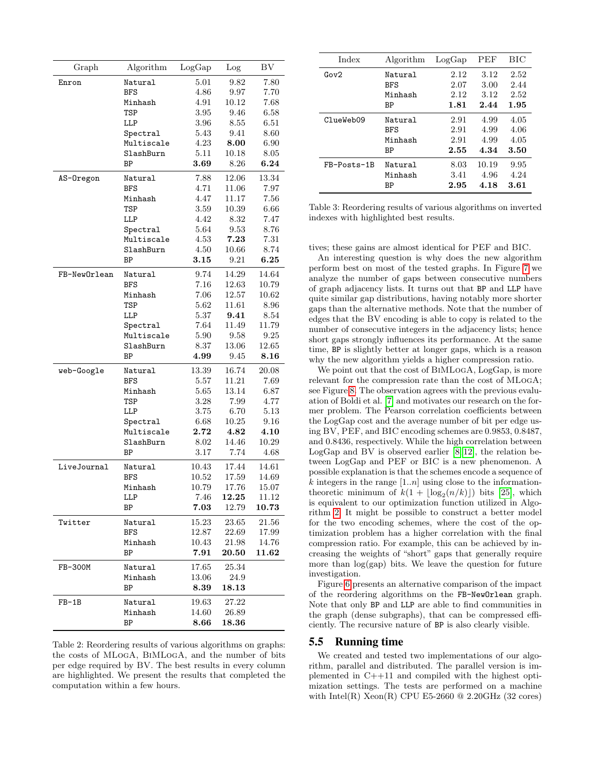<span id="page-7-0"></span>

| Graph        | Algorithm      | LogGap    | Log      | BV               |
|--------------|----------------|-----------|----------|------------------|
| Enron        | Natural        | 5.01      | 9.82     | 7.80             |
|              | <b>BFS</b>     | 4.86      | 9.97     | 7.70             |
|              | Minhash        | 4.91      | 10.12    | 7.68             |
|              | TSP            | 3.95      | 9.46     | 6.58             |
|              | LLP            | 3.96      | 8.55     | 6.51             |
|              | Spectral       | 5.43      | 9.41     | 8.60             |
|              | Multiscale     | 4.23      | 8.00     | 6.90             |
|              | SlashBurn      | 5.11      | 10.18    | 8.05             |
|              | ΒP             | 3.69      | 8.26     | 6.24             |
| AS-Oregon    | Natural        | 7.88      | 12.06    | 13.34            |
|              | <b>BFS</b>     | 4.71      | 11.06    | 7.97             |
|              | Minhash        | 4.47      | 11.17    | 7.56             |
|              | TSP            | 3.59      | 10.39    | 6.66             |
|              |                |           |          |                  |
|              | LLP            | 4.42      | 8.32     | 7.47             |
|              | Spectral       | 5.64      | 9.53     | 8.76             |
|              | Multiscale     | 4.53      | 7.23     | 7.31             |
|              | SlashBurn      | 4.50      | 10.66    | 8.74             |
|              | ΒP             | 3.15      | $9.21\,$ | 6.25             |
| FB-NewOrlean | Natural        | 9.74      | 14.29    | 14.64            |
|              | <b>BFS</b>     | $7.16\,$  | 12.63    | 10.79            |
|              | Minhash        | 7.06      | 12.57    | 10.62            |
|              | TSP            | 5.62      | 11.61    | 8.96             |
|              | LLP            | 5.37      | 9.41     | 8.54             |
|              | Spectral       | 7.64      | 11.49    | 11.79            |
|              | Multiscale     | $5.90\,$  | 9.58     | 9.25             |
|              | SlashBurn      | 8.37      | 13.06    | 12.65            |
|              | ΒP             | 4.99      | 9.45     | 8.16             |
| web-Google   | Natural        | 13.39     | 16.74    | 20.08            |
|              | <b>BFS</b>     | 5.57      | 11.21    | 7.69             |
|              |                | 5.65      | 13.14    |                  |
|              | Minhash<br>TSP | 3.28      | 7.99     | $6.87\,$<br>4.77 |
|              |                |           |          |                  |
|              | LLP            | 3.75      | 6.70     | 5.13             |
|              | Spectral       | 6.68      | 10.25    | 9.16             |
|              | Multiscale     | 2.72      | 4.82     | 4.10             |
|              | SlashBurn      | 8.02      | 14.46    | 10.29            |
|              | ΒP             | 3.17      | 7.74     | 4.68             |
| LiveJournal  | Natural        | 10.43     | 17.44    | 14.61            |
|              | BFS            | 10.52     | 17.59    | 14.69            |
|              | Minhash        | $10.79\,$ | 17.76    | 15.07            |
|              | LLP            | 7.46      | 12.25    | 11.12            |
|              | ΒP             | 7.03      | 12.79    | 10.73            |
| Twitter      | Natural        | 15.23     | 23.65    | 21.56            |
|              | BFS            | 12.87     | 22.69    | 17.99            |
|              | Minhash        | 10.43     | 21.98    | 14.76            |
|              | ΒP             | 7.91      | 20.50    | 11.62            |
| FB-300M      | Natural        | 17.65     | 25.34    |                  |
|              | Minhash        | 13.06     | 24.9     |                  |
|              | ΒP             | 8.39      | 18.13    |                  |
| $FB-1B$      | Natural        | 19.63     | 27.22    |                  |
|              | Minhash        | 14.60     | 26.89    |                  |
|              | ΒP             | 8.66      | 18.36    |                  |

Table 2: Reordering results of various algorithms on graphs: the costs of MLogA, BiMLogA, and the number of bits per edge required by BV. The best results in every column are highlighted. We present the results that completed the computation within a few hours.

<span id="page-7-1"></span>

| Index         | Algorithm  | LogGap | PEF   | BIC  |
|---------------|------------|--------|-------|------|
| Gov2          | Natural    | 2.12   | 3.12  | 2.52 |
|               | <b>BFS</b> | 2.07   | 3.00  | 2.44 |
|               | Minhash    | 2.12   | 3.12  | 2.52 |
|               | BP         | 1.81   | 2.44  | 1.95 |
| ClueWeb09     | Natural    | 2.91   | 4.99  | 4.05 |
|               | <b>BFS</b> | 2.91   | 4.99  | 4.06 |
|               | Minhash    | 2.91   | 4.99  | 4.05 |
|               | BP         | 2.55   | 4.34  | 3.50 |
| $FB-Posts-1B$ | Natural    | 8.03   | 10.19 | 9.95 |
|               | Minhash    | 3.41   | 4.96  | 4.24 |
|               | BP         | 2.95   | 4.18  | 3.61 |

Table 3: Reordering results of various algorithms on inverted indexes with highlighted best results.

tives; these gains are almost identical for PEF and BIC.

An interesting question is why does the new algorithm perform best on most of the tested graphs. In Figure [7](#page-8-1) we analyze the number of gaps between consecutive numbers of graph adjacency lists. It turns out that BP and LLP have quite similar gap distributions, having notably more shorter gaps than the alternative methods. Note that the number of edges that the BV encoding is able to copy is related to the number of consecutive integers in the adjacency lists; hence short gaps strongly influences its performance. At the same time, BP is slightly better at longer gaps, which is a reason why the new algorithm yields a higher compression ratio.

We point out that the cost of BIMLOGA, LogGap, is more relevant for the compression rate than the cost of MLogA; see Figure [8.](#page-8-2) The observation agrees with the previous evaluation of Boldi et al. [\[7\]](#page-9-2) and motivates our research on the former problem. The Pearson correlation coefficients between the LogGap cost and the average number of bit per edge using BV, PEF, and BIC encoding schemes are 0.9853, 0.8487, and 0.8436, respectively. While the high correlation between LogGap and BV is observed earlier [\[8,](#page-9-4) [12\]](#page-9-3), the relation between LogGap and PEF or BIC is a new phenomenon. A possible explanation is that the schemes encode a sequence of  $k$  integers in the range  $[1..n]$  using close to the informationtheoretic minimum of  $k(1 + \lfloor \log_2(n/k) \rfloor)$  bits [\[25\]](#page-9-17), which is equivalent to our optimization function utilized in Algorithm [2.](#page-4-1) It might be possible to construct a better model for the two encoding schemes, where the cost of the optimization problem has a higher correlation with the final compression ratio. For example, this can be achieved by increasing the weights of "short" gaps that generally require more than  $log(gap)$  bits. We leave the question for future investigation.

Figure [6](#page-6-3) presents an alternative comparison of the impact of the reordering algorithms on the FB-NewOrlean graph. Note that only BP and LLP are able to find communities in the graph (dense subgraphs), that can be compressed efficiently. The recursive nature of BP is also clearly visible.

# 5.5 Running time

We created and tested two implementations of our algorithm, parallel and distributed. The parallel version is implemented in C++11 and compiled with the highest optimization settings. The tests are performed on a machine with Intel(R)  $Xeon(R)$  CPU E5-2660 @ 2.20GHz (32 cores)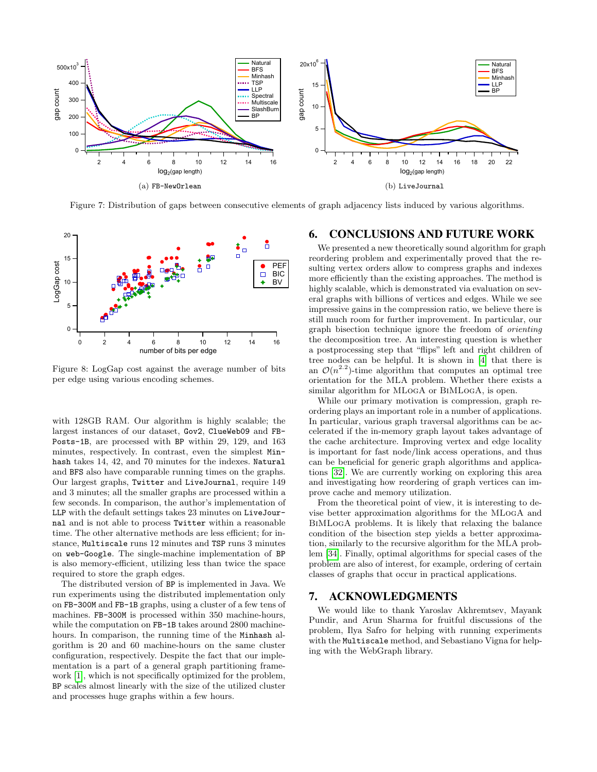<span id="page-8-1"></span>

Figure 7: Distribution of gaps between consecutive elements of graph adjacency lists induced by various algorithms.

<span id="page-8-2"></span>

Figure 8: LogGap cost against the average number of bits per edge using various encoding schemes.

with 128GB RAM. Our algorithm is highly scalable; the largest instances of our dataset, Gov2, ClueWeb09 and FB-Posts-1B, are processed with BP within 29, 129, and 163 minutes, respectively. In contrast, even the simplest Minhash takes 14, 42, and 70 minutes for the indexes. Natural and BFS also have comparable running times on the graphs. Our largest graphs, Twitter and LiveJournal, require 149 and 3 minutes; all the smaller graphs are processed within a few seconds. In comparison, the author's implementation of LLP with the default settings takes 23 minutes on LiveJournal and is not able to process Twitter within a reasonable time. The other alternative methods are less efficient; for instance, Multiscale runs 12 minutes and TSP runs 3 minutes on web-Google. The single-machine implementation of BP is also memory-efficient, utilizing less than twice the space required to store the graph edges.

The distributed version of BP is implemented in Java. We run experiments using the distributed implementation only on FB-300M and FB-1B graphs, using a cluster of a few tens of machines. FB-300M is processed within 350 machine-hours, while the computation on FB-1B takes around 2800 machinehours. In comparison, the running time of the Minhash algorithm is 20 and 60 machine-hours on the same cluster configuration, respectively. Despite the fact that our implementation is a part of a general graph partitioning framework [\[1\]](#page-9-33), which is not specifically optimized for the problem, BP scales almost linearly with the size of the utilized cluster and processes huge graphs within a few hours.

#### <span id="page-8-0"></span>6. CONCLUSIONS AND FUTURE WORK

We presented a new theoretically sound algorithm for graph reordering problem and experimentally proved that the resulting vertex orders allow to compress graphs and indexes more efficiently than the existing approaches. The method is highly scalable, which is demonstrated via evaluation on several graphs with billions of vertices and edges. While we see impressive gains in the compression ratio, we believe there is still much room for further improvement. In particular, our graph bisection technique ignore the freedom of orienting the decomposition tree. An interesting question is whether a postprocessing step that "flips" left and right children of tree nodes can be helpful. It is shown in [\[4\]](#page-9-34) that there is an  $\mathcal{O}(n^{2.2})$ -time algorithm that computes an optimal tree orientation for the MLA problem. Whether there exists a similar algorithm for MLogA or BiMLogA, is open.

While our primary motivation is compression, graph reordering plays an important role in a number of applications. In particular, various graph traversal algorithms can be accelerated if the in-memory graph layout takes advantage of the cache architecture. Improving vertex and edge locality is important for fast node/link access operations, and thus can be beneficial for generic graph algorithms and applications [\[32\]](#page-9-35). We are currently working on exploring this area and investigating how reordering of graph vertices can improve cache and memory utilization.

From the theoretical point of view, it is interesting to devise better approximation algorithms for the MLogA and BiMLogA problems. It is likely that relaxing the balance condition of the bisection step yields a better approximation, similarly to the recursive algorithm for the MLA problem [\[34\]](#page-9-36). Finally, optimal algorithms for special cases of the problem are also of interest, for example, ordering of certain classes of graphs that occur in practical applications.

# 7. ACKNOWLEDGMENTS

We would like to thank Yaroslav Akhremtsev, Mayank Pundir, and Arun Sharma for fruitful discussions of the problem, Ilya Safro for helping with running experiments with the Multiscale method, and Sebastiano Vigna for helping with the WebGraph library.